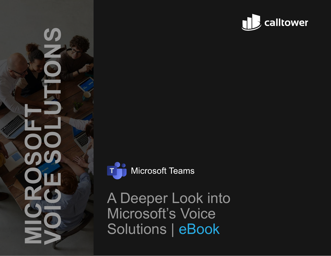





**Microsoft Teams** 

A Deeper Look into Microsoft's Voice Solutions | eBook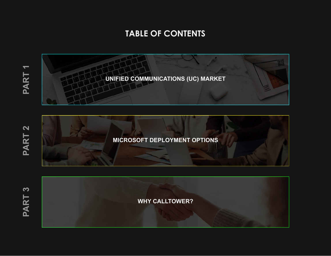# **TABLE OF CONTENTS**

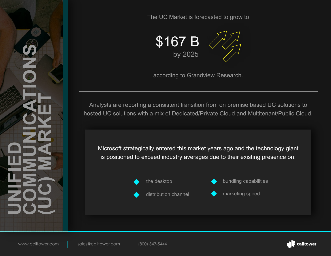The UC Market is forecasted to grow to



according to Grandview Research.

Analysts are reporting a consistent transition from on premise based UC solutions to hosted UC solutions with a mix of Dedicated/Private Cloud and Multitenant/Public Cloud.

Microsoft strategically entered this market years ago and the technology giant is positioned to exceed industry averages due to their existing presence on:



**UNIFIED** 

<span id="page-2-0"></span>**COMMUNICATIONS** 

**(UC) MARKET**



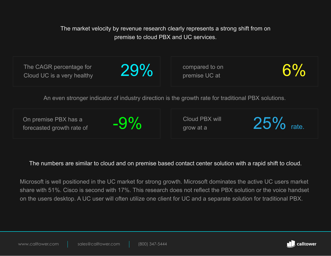The market velocity by revenue research clearly represents a strong shift from on premise to cloud PBX and UC services.

| The CAGR percentage for<br>Cloud UC is a very healthy                                              | 29%    | compared to on<br>premise UC at | $6\%$       |  |
|----------------------------------------------------------------------------------------------------|--------|---------------------------------|-------------|--|
| An even stronger indicator of industry direction is the growth rate for traditional PBX solutions. |        |                                 |             |  |
| On premise PBX has a<br>forecasted growth rate of                                                  | $-9\%$ | Cloud PBX will<br>grow at a     | 25%<br>rate |  |

#### The numbers are similar to cloud and on premise based contact center solution with a rapid shift to cloud.

Microsoft is well positioned in the UC market for strong growth. Microsoft dominates the active UC users market share with 51%. Cisco is second with 17%. This research does not reflect the PBX solution or the voice handset on the users desktop. A UC user will often utilize one client for UC and a separate solution for traditional PBX.

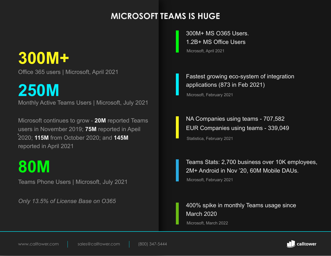### **MICROSOFT TEAMS IS HUGE**

# **300M+**

Office 365 users | Microsoft, April 2021

**250M**

Monthly Active Teams Users | Microsoft, July 2021

Microsoft continues to grow - **20M** reported Teams users in November 2019; **75M** reported in Apeil 2020; **115M** from October 2020; and **145M**  reported in April 2021

# **80M**

Teams Phone Users | Microsoft, July 2021

*Only 13.5% of License Base on O365*

300M+ MS O365 Users. 1.2B+ MS Office Users Microsoft, April 2021

Fastest growing eco-system of integration applications (873 in Feb 2021)

Microsoft, February 2021

NA Companies using teams - 707,582 EUR Companies using teams - 339,049

Statistica, February 2021

Teams Stats: 2,700 business over 10K employees, 2M+ Android in Nov '20, 60M Mobile DAUs.

Microsoft, February 2021

400% spike in monthly Teams usage since March 2020 Microsoft, March 2022

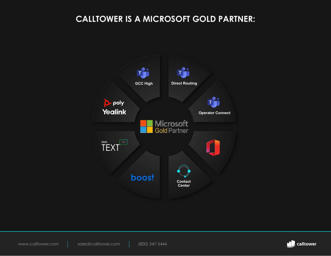### **CALLTOWER IS A MICROSOFT GOLD PARTNER:**



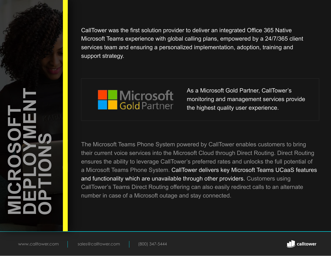<span id="page-6-0"></span>CallTower was the first solution provider to deliver an integrated Office 365 Native Microsoft Teams experience with global calling plans, empowered by a 24/7/365 client services team and ensuring a personalized implementation, adoption, training and support strategy.



As a Microsoft Gold Partner, CallTower's monitoring and management services provide the highest quality user experience.

The Microsoft Teams Phone System powered by CallTower enables customers to bring their current voice services into the Microsoft Cloud through Direct Routing. Direct Routing ensures the ability to leverage CallTower's preferred rates and unlocks the full potential of a Microsoft Teams Phone System. CallTower delivers key Microsoft Teams UCaaS features and functionality which are unavailable through other providers. Customers using CallTower's Teams Direct Routing offering can also easily redirect calls to an alternate number in case of a Microsoft outage and stay connected.

**MICROSOFT** 

**DEPLOYMENT** 

**OPTIONS**

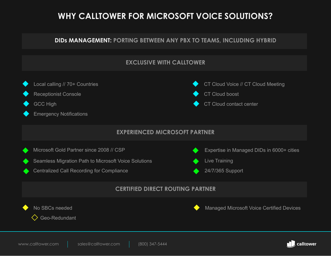### **WHY CALLTOWER FOR MICROSOFT VOICE SOLUTIONS?**

#### **DIDs MANAGEMENT: PORTING BETWEEN ANY PBX TO TEAMS, INCLUDING HYBRID**



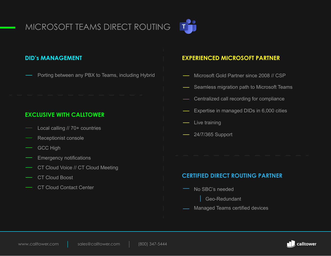# MICROSOFT TEAMS DIRECT ROUTING



#### **DID's MANAGEMENT**

Porting between any PBX to Teams, including Hybrid

#### **EXCLUSIVE WITH CALLTOWER**

- Local calling // 70+ countries
- Receptionist console
- GCC High
- Emergency notifications
- CT Cloud Voice // CT Cloud Meeting
- CT Cloud Boost
- CT Cloud Contact Center

#### **EXPERIENCED MICROSOFT PARTNER**

- Microsoft Gold Partner since 2008 // CSP
- Seamless migration path to Microsoft Teams
- Centralized call recording for compliance
- Expertise in managed DIDs in 6,000 cities
- Live training
- 24/7/365 Support

#### **CERTIFIED DIRECT ROUTING PARTNER**

- No SBC's needed
	- Geo-Redundant
- Managed Teams certified devices

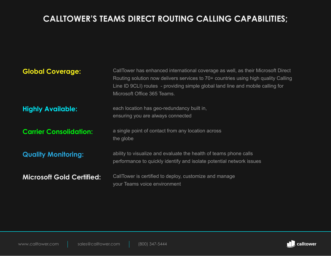### **CALLTOWER'S TEAMS DIRECT ROUTING CALLING CAPABILITIES;**

| <b>Global Coverage:</b>          | CallTower has enhanced international coverage as well, as their Microsoft Direct<br>Routing solution now delivers services to 70+ countries using high quality Calling<br>Line ID 9CLI) routes - providing simple global land line and mobile calling for<br>Microsoft Office 365 Teams. |
|----------------------------------|------------------------------------------------------------------------------------------------------------------------------------------------------------------------------------------------------------------------------------------------------------------------------------------|
| <b>Highly Available:</b>         | each location has geo-redundancy built in,<br>ensuring you are always connected                                                                                                                                                                                                          |
| <b>Carrier Consolidation:</b>    | a single point of contact from any location across<br>the globe                                                                                                                                                                                                                          |
| <b>Quality Monitoring:</b>       | ability to visualize and evaluate the health of teams phone calls<br>performance to quickly identify and isolate potential network issues                                                                                                                                                |
| <b>Microsoft Gold Certified:</b> | CallTower is certified to deploy, customize and manage<br>your Teams voice environment                                                                                                                                                                                                   |

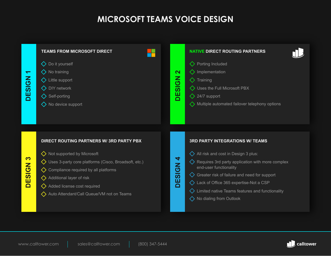### **MICROSOFT TEAMS VOICE DESIGN**



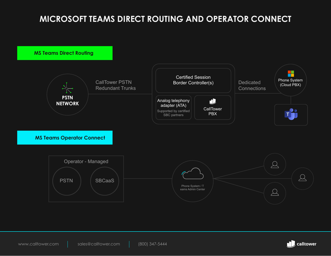### **MICROSOFT TEAMS DIRECT ROUTING AND OPERATOR CONNECT**



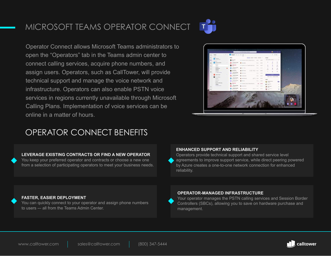# MICROSOFT TEAMS OPERATOR CONNECT



Operator Connect allows Microsoft Teams administrators to open the "Operators" tab in the Teams admin center to connect calling services, acquire phone numbers, and assign users. Operators, such as CallTower, will provide technical support and manage the voice network and infrastructure. Operators can also enable PSTN voice services in regions currently unavailable through Microsoft Calling Plans. Implementation of voice services can be online in a matter of hours.



### OPERATOR CONNECT BENEFITS

#### **LEVERAGE EXISTING CONTRACTS OR FIND A NEW OPERATOR**

You keep your preferred operator and contracts or choose a new one from a selection of participating operators to meet your business needs.

#### **ENHANCED SUPPORT AND RELIABILITY**

Operators provide technical support and shared service level agreements to improve support service, while direct peering powered by Azure creates a one-to-one network connection for enhanced reliability.

#### **FASTER, EASIER DEPLOYMENT**

You can quickly connect to your operator and assign phone numbers to users -– all from the Teams Admin Center.

#### **OPERATOR-MANAGED INFRASTRUCTURE**

Your operator manages the PSTN calling services and Session Border Controllers (SBCs), allowing you to save on hardware purchase and management.

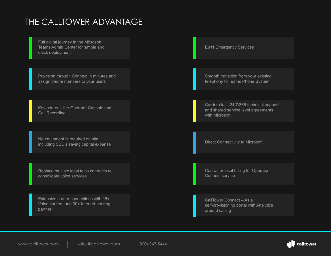### THE CALLTOWER ADVANTAGE

Full digital journey in the Microsoft Teams Admin Center for simple and quick deployment

Provision through Connect in minutes and assign phone numbers to your users

Key add-ons like Operator Console and Call Recording

No equipment is required on site, including SBC's saving capital expense

Replace multiple local telco contracts to consolidate voice services

Extensive carrier connections with 15+ Voice carriers and 30+ Internet peering partner

E911 Emergency Services

Smooth transition from your existing telephony to Teams Phone System

Carrier-class 24/7/365 technical support and shared service level agreements with Microsoft

Direct Connectivity to Microsoft

Central or local billing for Operator Connect service

CallTower Connect – As a self-provisioning portal with Analytics around calling

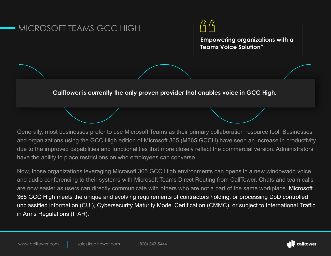#### MICROSOFT TEAMS GCC HIGH



**Empowering organizations with a Teams Voice Solution"**

**CallTower is currently the only proven provider that enables voice in GCC High.** 

Generally, most businesses prefer to use Microsoft Teams as their primary collaboration resource tool. Businesses and organizations using the GCC High edition of Microsoft 365 (M365 GCCH) have seen an increase in productivity due to the improved capabilities and functionalities that more closely reflect the commercial version. Administrators have the ability to place restrictions on who employees can converse.

Now, those organizations leveraging Microsoft 365 GCC High environments can opens in a new windowadd voice and audio conferencing to their systems with Microsoft Teams Direct Routing from CallTower. Chats and team calls are now easier as users can directly communicate with others who are not a part of the same workplace. Microsoft 365 GCC High meets the unique and evolving requirements of contractors holding, or processing DoD controlled unclassified information (CUI), Cybersecurity Maturity Model Certification (CMMC), or subject to International Traffic in Arms Regulations (ITAR).

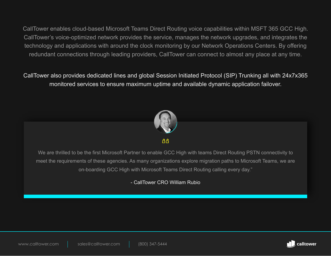CallTower enables cloud-based Microsoft Teams Direct Routing voice capabilities within MSFT 365 GCC High. CallTower's voice-optimized network provides the service, manages the network upgrades, and integrates the technology and applications with around the clock monitoring by our Network Operations Centers. By offering redundant connections through leading providers, CallTower can connect to almost any place at any time.

CallTower also provides dedicated lines and global Session Initiated Protocol (SIP) Trunking all with 24x7x365 monitored services to ensure maximum uptime and available dynamic application failover.



 $A$  $A$ 

We are thrilled to be the first Microsoft Partner to enable GCC High with teams Direct Routing PSTN connectivity to meet the requirements of these agencies. As many organizations explore migration paths to Microsoft Teams, we are on-boarding GCC High with Microsoft Teams Direct Routing calling every day."

- CallTower CRO William Rubio



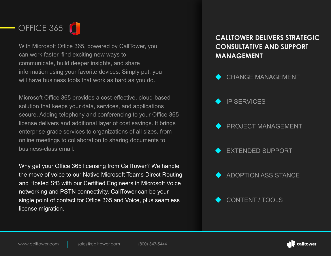



With Microsoft Office 365, powered by CallTower, you can work faster, find exciting new ways to communicate, build deeper insights, and share information using your favorite devices. Simply put, you will have business tools that work as hard as you do.

Microsoft Office 365 provides a cost-effective, cloud-based solution that keeps your data, services, and applications secure. Adding telephony and conferencing to your Office 365 license delivers and additional layer of cost savings. It brings enterprise-grade services to organizations of all sizes, from online meetings to collaboration to sharing documents to business-class email.

Why get your Office 365 licensing from CallTower? We handle the move of voice to our Native Microsoft Teams Direct Routing and Hosted SfB with our Certified Engineers in Microsoft Voice networking and PSTN connectivity. CallTower can be your single point of contact for Office 365 and Voice, plus seamless license migration.

#### **CALLTOWER DELIVERS STRATEGIC CONSULTATIVE AND SUPPORT MANAGEMENT**



- IP SERVICES
- PROJECT MANAGEMENT
- EXTENDED SUPPORT
- ADOPTION ASSISTANCE